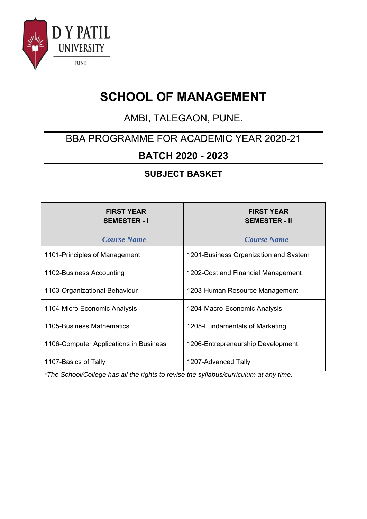

# **SCHOOL OF MANAGEMENT**

## AMBI, TALEGAON, PUNE.

### BBA PROGRAMME FOR ACADEMIC YEAR 2020-21

### **BATCH 2020 - 2023**

#### **SUBJECT BASKET**

| <b>FIRST YEAR</b><br><b>SEMESTER - I</b> | <b>FIRST YEAR</b><br><b>SEMESTER - II</b> |
|------------------------------------------|-------------------------------------------|
| <b>Course Name</b>                       | <b>Course Name</b>                        |
| 1101-Principles of Management            | 1201-Business Organization and System     |
| 1102-Business Accounting                 | 1202-Cost and Financial Management        |
| 1103-Organizational Behaviour            | 1203-Human Resource Management            |
| 1104-Micro Economic Analysis             | 1204-Macro-Economic Analysis              |
| 1105-Business Mathematics                | 1205-Fundamentals of Marketing            |
| 1106-Computer Applications in Business   | 1206-Entrepreneurship Development         |
| 1107-Basics of Tally                     | 1207-Advanced Tally                       |

*\*The School/College has all the rights to revise the syllabus/curriculum at any time.*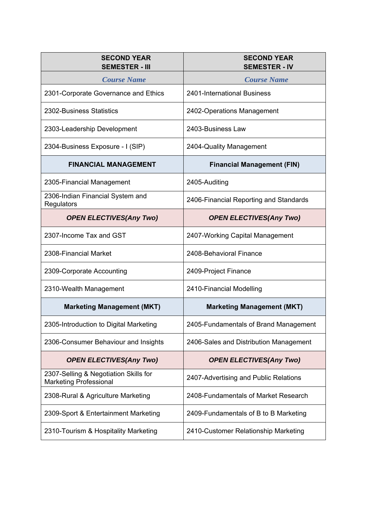| <b>SECOND YEAR</b><br><b>SEMESTER - III</b>                            | <b>SECOND YEAR</b><br><b>SEMESTER - IV</b> |
|------------------------------------------------------------------------|--------------------------------------------|
| <b>Course Name</b>                                                     | <b>Course Name</b>                         |
| 2301-Corporate Governance and Ethics                                   | 2401-International Business                |
| 2302-Business Statistics                                               | 2402-Operations Management                 |
| 2303-Leadership Development                                            | 2403-Business Law                          |
| 2304-Business Exposure - I (SIP)                                       | 2404-Quality Management                    |
| <b>FINANCIAL MANAGEMENT</b>                                            | <b>Financial Management (FIN)</b>          |
| 2305-Financial Management                                              | 2405-Auditing                              |
| 2306-Indian Financial System and<br>Regulators                         | 2406-Financial Reporting and Standards     |
| <b>OPEN ELECTIVES(Any Two)</b>                                         | <b>OPEN ELECTIVES(Any Two)</b>             |
| 2307-Income Tax and GST                                                | 2407-Working Capital Management            |
| 2308-Financial Market                                                  | 2408-Behavioral Finance                    |
| 2309-Corporate Accounting                                              | 2409-Project Finance                       |
| 2310-Wealth Management                                                 | 2410-Financial Modelling                   |
| <b>Marketing Management (MKT)</b>                                      | <b>Marketing Management (MKT)</b>          |
| 2305-Introduction to Digital Marketing                                 | 2405-Fundamentals of Brand Management      |
| 2306-Consumer Behaviour and Insights                                   | 2406-Sales and Distribution Management     |
| <b>OPEN ELECTIVES(Any Two)</b>                                         | <b>OPEN ELECTIVES(Any Two)</b>             |
| 2307-Selling & Negotiation Skills for<br><b>Marketing Professional</b> | 2407-Advertising and Public Relations      |
| 2308-Rural & Agriculture Marketing                                     | 2408-Fundamentals of Market Research       |
| 2309-Sport & Entertainment Marketing                                   | 2409-Fundamentals of B to B Marketing      |
| 2310-Tourism & Hospitality Marketing                                   | 2410-Customer Relationship Marketing       |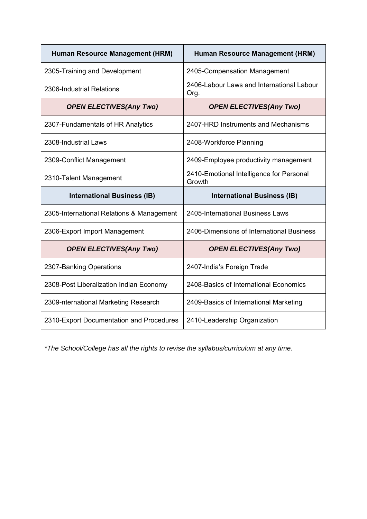| Human Resource Management (HRM)           | Human Resource Management (HRM)                    |
|-------------------------------------------|----------------------------------------------------|
| 2305-Training and Development             | 2405-Compensation Management                       |
| 2306-Industrial Relations                 | 2406-Labour Laws and International Labour<br>Org.  |
| <b>OPEN ELECTIVES(Any Two)</b>            | <b>OPEN ELECTIVES(Any Two)</b>                     |
| 2307-Fundamentals of HR Analytics         | 2407-HRD Instruments and Mechanisms                |
| 2308-Industrial Laws                      | 2408-Workforce Planning                            |
| 2309-Conflict Management                  | 2409-Employee productivity management              |
| 2310-Talent Management                    | 2410-Emotional Intelligence for Personal<br>Growth |
|                                           |                                                    |
| <b>International Business (IB)</b>        | <b>International Business (IB)</b>                 |
| 2305-International Relations & Management | 2405-International Business Laws                   |
| 2306-Export Import Management             | 2406-Dimensions of International Business          |
| <b>OPEN ELECTIVES(Any Two)</b>            | <b>OPEN ELECTIVES(Any Two)</b>                     |
| 2307-Banking Operations                   | 2407-India's Foreign Trade                         |
| 2308-Post Liberalization Indian Economy   | 2408-Basics of International Economics             |
| 2309-nternational Marketing Research      | 2409-Basics of International Marketing             |

*\*The School/College has all the rights to revise the syllabus/curriculum at any time.*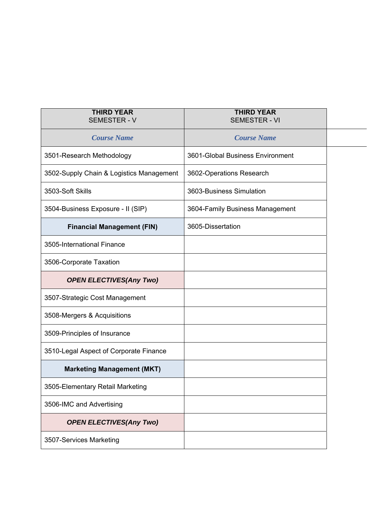| <b>THIRD YEAR</b><br><b>SEMESTER - V</b> | <b>THIRD YEAR</b><br><b>SEMESTER - VI</b> |  |
|------------------------------------------|-------------------------------------------|--|
| <b>Course Name</b>                       | <b>Course Name</b>                        |  |
| 3501-Research Methodology                | 3601-Global Business Environment          |  |
| 3502-Supply Chain & Logistics Management | 3602-Operations Research                  |  |
| 3503-Soft Skills                         | 3603-Business Simulation                  |  |
| 3504-Business Exposure - II (SIP)        | 3604-Family Business Management           |  |
| <b>Financial Management (FIN)</b>        | 3605-Dissertation                         |  |
| 3505-International Finance               |                                           |  |
| 3506-Corporate Taxation                  |                                           |  |
| <b>OPEN ELECTIVES(Any Two)</b>           |                                           |  |
| 3507-Strategic Cost Management           |                                           |  |
| 3508-Mergers & Acquisitions              |                                           |  |
| 3509-Principles of Insurance             |                                           |  |
| 3510-Legal Aspect of Corporate Finance   |                                           |  |
| <b>Marketing Management (MKT)</b>        |                                           |  |
| 3505-Elementary Retail Marketing         |                                           |  |
| 3506-IMC and Advertising                 |                                           |  |
| <b>OPEN ELECTIVES(Any Two)</b>           |                                           |  |
| 3507-Services Marketing                  |                                           |  |